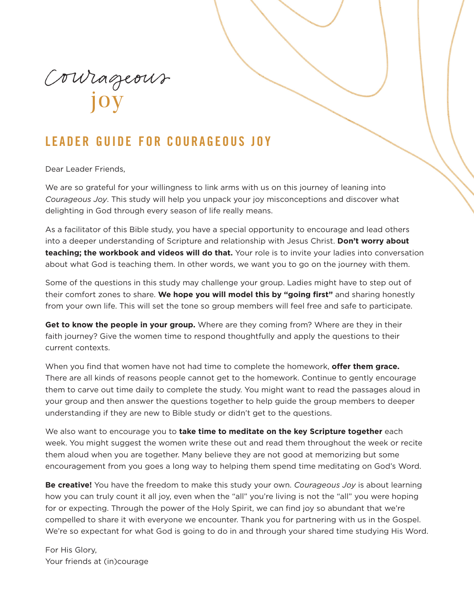Courageous

# **LEADER GUIDE FOR COURAGEOUS JOY**

Dear Leader Friends,

We are so grateful for your willingness to link arms with us on this journey of leaning into *Courageous Joy*. This study will help you unpack your joy misconceptions and discover what delighting in God through every season of life really means.

As a facilitator of this Bible study, you have a special opportunity to encourage and lead others into a deeper understanding of Scripture and relationship with Jesus Christ. **Don't worry about teaching; the workbook and videos will do that.** Your role is to invite your ladies into conversation about what God is teaching them. In other words, we want you to go on the journey with them.

Some of the questions in this study may challenge your group. Ladies might have to step out of their comfort zones to share. **We hope you will model this by "going first"** and sharing honestly from your own life. This will set the tone so group members will feel free and safe to participate.

**Get to know the people in your group.** Where are they coming from? Where are they in their faith journey? Give the women time to respond thoughtfully and apply the questions to their current contexts.

When you find that women have not had time to complete the homework, **offer them grace.** There are all kinds of reasons people cannot get to the homework. Continue to gently encourage them to carve out time daily to complete the study. You might want to read the passages aloud in your group and then answer the questions together to help guide the group members to deeper understanding if they are new to Bible study or didn't get to the questions.

We also want to encourage you to **take time to meditate on the key Scripture together** each week. You might suggest the women write these out and read them throughout the week or recite them aloud when you are together. Many believe they are not good at memorizing but some encouragement from you goes a long way to helping them spend time meditating on God's Word.

**Be creative!** You have the freedom to make this study your own. *Courageous Joy* is about learning how you can truly count it all joy, even when the "all" you're living is not the "all" you were hoping for or expecting. Through the power of the Holy Spirit, we can find joy so abundant that we're compelled to share it with everyone we encounter. Thank you for partnering with us in the Gospel. We're so expectant for what God is going to do in and through your shared time studying His Word.

For His Glory, Your friends at (in)courage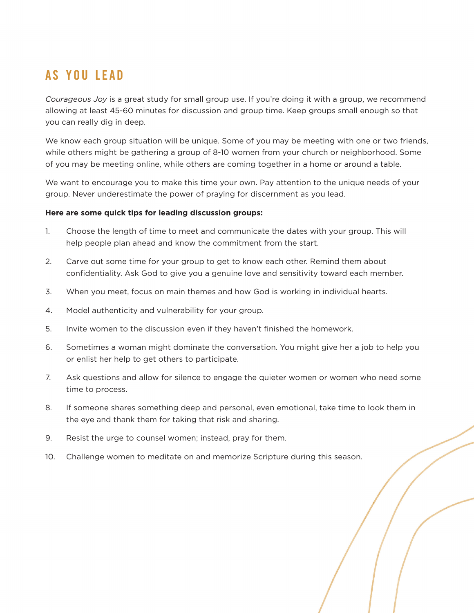# **AS YOU LEAD**

*Courageous Joy* is a great study for small group use. If you're doing it with a group, we recommend allowing at least 45-60 minutes for discussion and group time. Keep groups small enough so that you can really dig in deep.

We know each group situation will be unique. Some of you may be meeting with one or two friends, while others might be gathering a group of 8-10 women from your church or neighborhood. Some of you may be meeting online, while others are coming together in a home or around a table.

We want to encourage you to make this time your own. Pay attention to the unique needs of your group. Never underestimate the power of praying for discernment as you lead.

#### **Here are some quick tips for leading discussion groups:**

- 1. Choose the length of time to meet and communicate the dates with your group. This will help people plan ahead and know the commitment from the start.
- 2. Carve out some time for your group to get to know each other. Remind them about confidentiality. Ask God to give you a genuine love and sensitivity toward each member.
- 3. When you meet, focus on main themes and how God is working in individual hearts.
- 4. Model authenticity and vulnerability for your group.
- 5. Invite women to the discussion even if they haven't finished the homework.
- 6. Sometimes a woman might dominate the conversation. You might give her a job to help you or enlist her help to get others to participate.
- 7. Ask questions and allow for silence to engage the quieter women or women who need some time to process.
- 8. If someone shares something deep and personal, even emotional, take time to look them in the eye and thank them for taking that risk and sharing.
- 9. Resist the urge to counsel women; instead, pray for them.
- 10. Challenge women to meditate on and memorize Scripture during this season.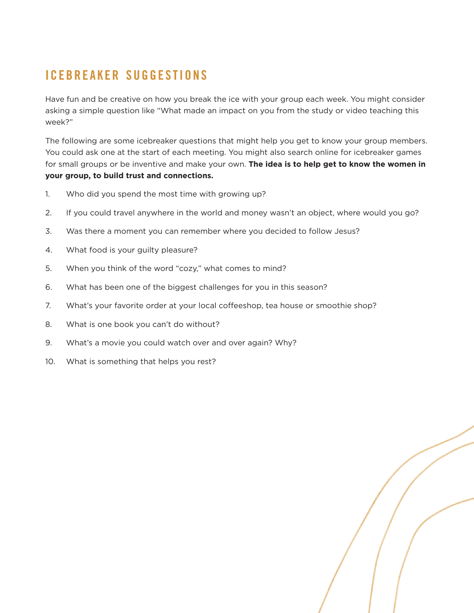# **ICEBREAKER SUGGESTIONS**

Have fun and be creative on how you break the ice with your group each week. You might consider asking a simple question like "What made an impact on you from the study or video teaching this week?"

The following are some icebreaker questions that might help you get to know your group members. You could ask one at the start of each meeting. You might also search online for icebreaker games for small groups or be inventive and make your own. **The idea is to help get to know the women in your group, to build trust and connections.**

- 1. Who did you spend the most time with growing up?
- 2. If you could travel anywhere in the world and money wasn't an object, where would you go?
- 3. Was there a moment you can remember where you decided to follow Jesus?
- 4. What food is your guilty pleasure?
- 5. When you think of the word "cozy," what comes to mind?
- 6. What has been one of the biggest challenges for you in this season?
- 7. What's your favorite order at your local coffeeshop, tea house or smoothie shop?
- 8. What is one book you can't do without?
- 9. What's a movie you could watch over and over again? Why?
- 10. What is something that helps you rest?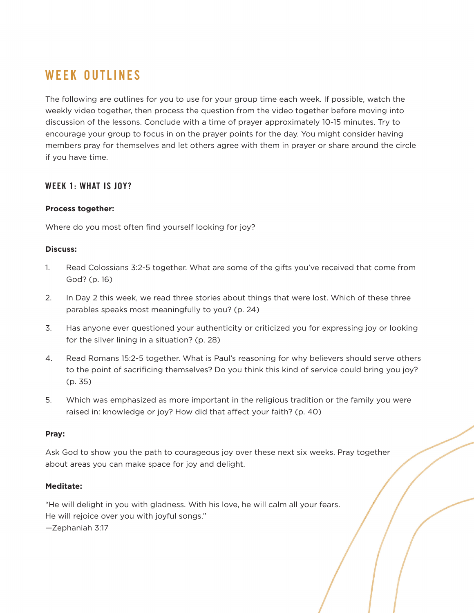# **WEEK OUTLINES**

The following are outlines for you to use for your group time each week. If possible, watch the weekly video together, then process the question from the video together before moving into discussion of the lessons. Conclude with a time of prayer approximately 10-15 minutes. Try to encourage your group to focus in on the prayer points for the day. You might consider having members pray for themselves and let others agree with them in prayer or share around the circle if you have time.

# **WEEK 1: WHAT IS JOY?**

### **Process together:**

Where do you most often find yourself looking for joy?

#### **Discuss:**

- 1. Read Colossians 3:2-5 together. What are some of the gifts you've received that come from God? (p. 16)
- 2. In Day 2 this week, we read three stories about things that were lost. Which of these three parables speaks most meaningfully to you? (p. 24)
- 3. Has anyone ever questioned your authenticity or criticized you for expressing joy or looking for the silver lining in a situation? (p. 28)
- 4. Read Romans 15:2-5 together. What is Paul's reasoning for why believers should serve others to the point of sacrificing themselves? Do you think this kind of service could bring you joy? (p. 35)
- 5. Which was emphasized as more important in the religious tradition or the family you were raised in: knowledge or joy? How did that affect your faith? (p. 40)

#### **Pray:**

Ask God to show you the path to courageous joy over these next six weeks. Pray together about areas you can make space for joy and delight.

# **Meditate:**

"He will delight in you with gladness. With his love, he will calm all your fears. He will rejoice over you with joyful songs." —Zephaniah 3:17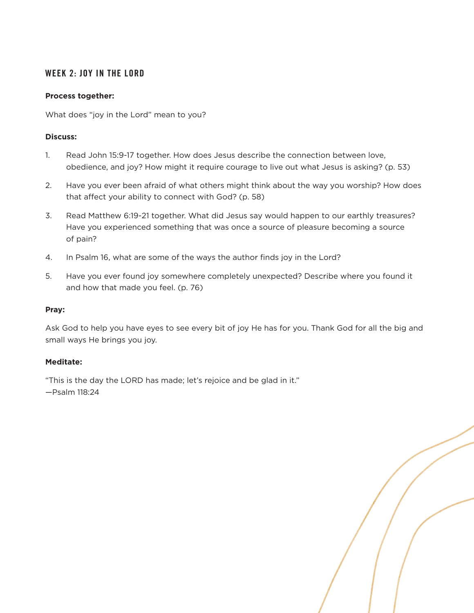# **WEEK 2: JOY IN THE LORD**

#### **Process together:**

What does "joy in the Lord" mean to you?

### **Discuss:**

- 1. Read John 15:9-17 together. How does Jesus describe the connection between love, obedience, and joy? How might it require courage to live out what Jesus is asking? (p. 53)
- 2. Have you ever been afraid of what others might think about the way you worship? How does that affect your ability to connect with God? (p. 58)
- 3. Read Matthew 6:19-21 together. What did Jesus say would happen to our earthly treasures? Have you experienced something that was once a source of pleasure becoming a source of pain?
- 4. In Psalm 16, what are some of the ways the author finds joy in the Lord?
- 5. Have you ever found joy somewhere completely unexpected? Describe where you found it and how that made you feel. (p. 76)

#### **Pray:**

Ask God to help you have eyes to see every bit of joy He has for you. Thank God for all the big and small ways He brings you joy.

# **Meditate:**

"This is the day the LORD has made; let's rejoice and be glad in it." —Psalm 118:24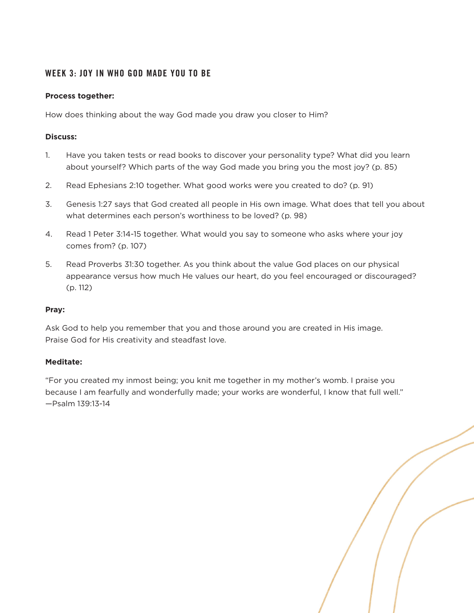# **WEEK 3: JOY IN WHO GOD MADE YOU TO BE**

### **Process together:**

How does thinking about the way God made you draw you closer to Him?

#### **Discuss:**

- 1. Have you taken tests or read books to discover your personality type? What did you learn about yourself? Which parts of the way God made you bring you the most joy? (p. 85)
- 2. Read Ephesians 2:10 together. What good works were you created to do? (p. 91)
- 3. Genesis 1:27 says that God created all people in His own image. What does that tell you about what determines each person's worthiness to be loved? (p. 98)
- 4. Read 1 Peter 3:14-15 together. What would you say to someone who asks where your joy comes from? (p. 107)
- 5. Read Proverbs 31:30 together. As you think about the value God places on our physical appearance versus how much He values our heart, do you feel encouraged or discouraged? (p. 112)

#### **Pray:**

Ask God to help you remember that you and those around you are created in His image. Praise God for His creativity and steadfast love.

# **Meditate:**

"For you created my inmost being; you knit me together in my mother's womb. I praise you because I am fearfully and wonderfully made; your works are wonderful, I know that full well." —Psalm 139:13-14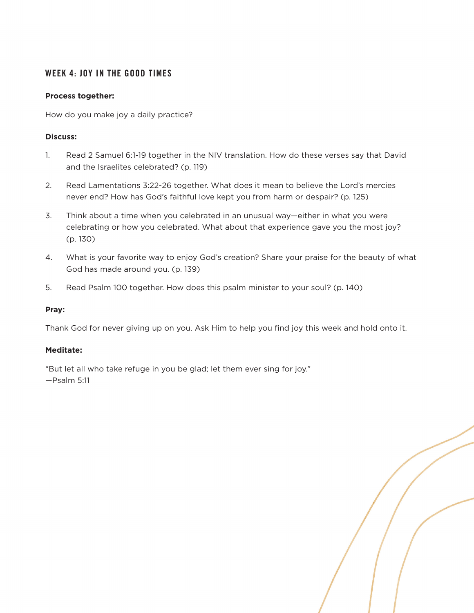# **WEEK 4: JOY IN THE GOOD TIMES**

#### **Process together:**

How do you make joy a daily practice?

### **Discuss:**

- 1. Read 2 Samuel 6:1-19 together in the NIV translation. How do these verses say that David and the Israelites celebrated? (p. 119)
- 2. Read Lamentations 3:22-26 together. What does it mean to believe the Lord's mercies never end? How has God's faithful love kept you from harm or despair? (p. 125)
- 3. Think about a time when you celebrated in an unusual way—either in what you were celebrating or how you celebrated. What about that experience gave you the most joy? (p. 130)
- 4. What is your favorite way to enjoy God's creation? Share your praise for the beauty of what God has made around you. (p. 139)
- 5. Read Psalm 100 together. How does this psalm minister to your soul? (p. 140)

#### **Pray:**

Thank God for never giving up on you. Ask Him to help you find joy this week and hold onto it.

# **Meditate:**

"But let all who take refuge in you be glad; let them ever sing for joy." —Psalm 5:11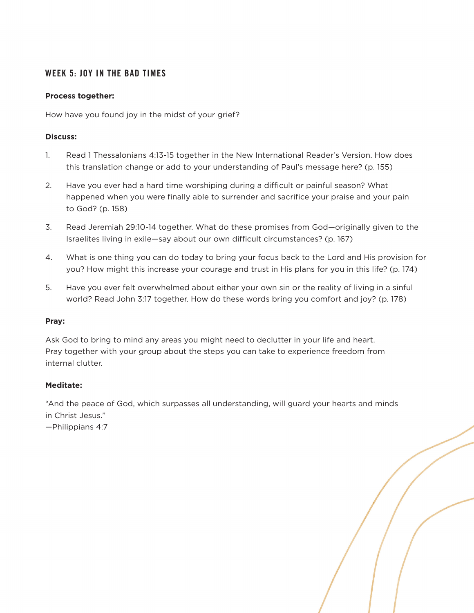# **WEEK 5: JOY IN THE BAD TIMES**

## **Process together:**

How have you found joy in the midst of your grief?

### **Discuss:**

- 1. Read 1 Thessalonians 4:13-15 together in the New International Reader's Version. How does this translation change or add to your understanding of Paul's message here? (p. 155)
- 2. Have you ever had a hard time worshiping during a difficult or painful season? What happened when you were finally able to surrender and sacrifice your praise and your pain to God? (p. 158)
- 3. Read Jeremiah 29:10-14 together. What do these promises from God—originally given to the Israelites living in exile—say about our own difficult circumstances? (p. 167)
- 4. What is one thing you can do today to bring your focus back to the Lord and His provision for you? How might this increase your courage and trust in His plans for you in this life? (p. 174)
- 5. Have you ever felt overwhelmed about either your own sin or the reality of living in a sinful world? Read John 3:17 together. How do these words bring you comfort and joy? (p. 178)

#### **Pray:**

Ask God to bring to mind any areas you might need to declutter in your life and heart. Pray together with your group about the steps you can take to experience freedom from internal clutter.

# **Meditate:**

"And the peace of God, which surpasses all understanding, will guard your hearts and minds in Christ Jesus."

—Philippians 4:7